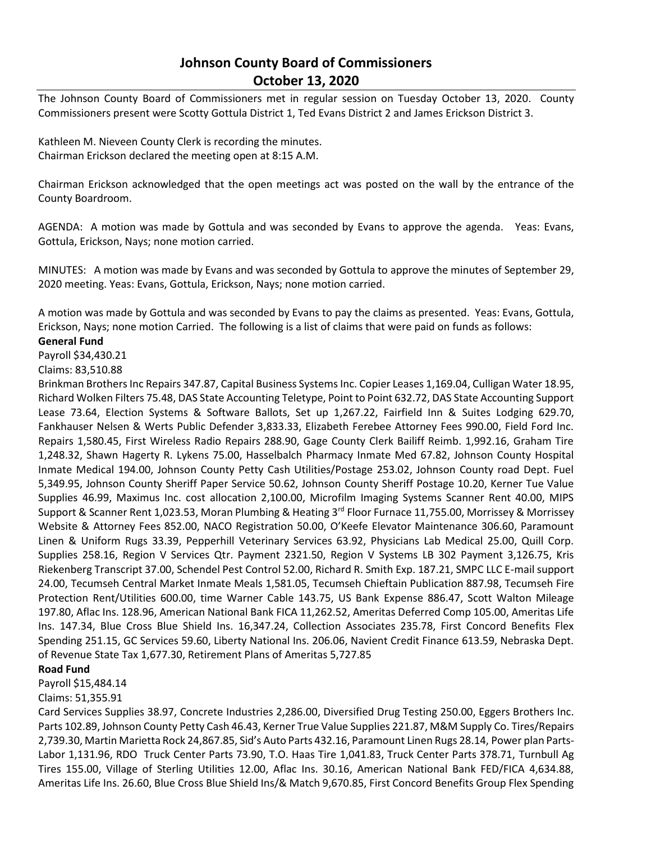## **Johnson County Board of Commissioners October 13, 2020**

The Johnson County Board of Commissioners met in regular session on Tuesday October 13, 2020. County Commissioners present were Scotty Gottula District 1, Ted Evans District 2 and James Erickson District 3.

Kathleen M. Nieveen County Clerk is recording the minutes. Chairman Erickson declared the meeting open at 8:15 A.M.

Chairman Erickson acknowledged that the open meetings act was posted on the wall by the entrance of the County Boardroom.

AGENDA: A motion was made by Gottula and was seconded by Evans to approve the agenda. Yeas: Evans, Gottula, Erickson, Nays; none motion carried.

MINUTES: A motion was made by Evans and was seconded by Gottula to approve the minutes of September 29, 2020 meeting. Yeas: Evans, Gottula, Erickson, Nays; none motion carried.

A motion was made by Gottula and was seconded by Evans to pay the claims as presented. Yeas: Evans, Gottula, Erickson, Nays; none motion Carried. The following is a list of claims that were paid on funds as follows:

## **General Fund**

Payroll \$34,430.21

Claims: 83,510.88

Brinkman Brothers Inc Repairs 347.87, Capital Business Systems Inc. Copier Leases 1,169.04, Culligan Water 18.95, Richard Wolken Filters 75.48, DAS State Accounting Teletype, Point to Point 632.72, DAS State Accounting Support Lease 73.64, Election Systems & Software Ballots, Set up 1,267.22, Fairfield Inn & Suites Lodging 629.70, Fankhauser Nelsen & Werts Public Defender 3,833.33, Elizabeth Ferebee Attorney Fees 990.00, Field Ford Inc. Repairs 1,580.45, First Wireless Radio Repairs 288.90, Gage County Clerk Bailiff Reimb. 1,992.16, Graham Tire 1,248.32, Shawn Hagerty R. Lykens 75.00, Hasselbalch Pharmacy Inmate Med 67.82, Johnson County Hospital Inmate Medical 194.00, Johnson County Petty Cash Utilities/Postage 253.02, Johnson County road Dept. Fuel 5,349.95, Johnson County Sheriff Paper Service 50.62, Johnson County Sheriff Postage 10.20, Kerner Tue Value Supplies 46.99, Maximus Inc. cost allocation 2,100.00, Microfilm Imaging Systems Scanner Rent 40.00, MIPS Support & Scanner Rent 1,023.53, Moran Plumbing & Heating 3<sup>rd</sup> Floor Furnace 11,755.00, Morrissey & Morrissey Website & Attorney Fees 852.00, NACO Registration 50.00, O'Keefe Elevator Maintenance 306.60, Paramount Linen & Uniform Rugs 33.39, Pepperhill Veterinary Services 63.92, Physicians Lab Medical 25.00, Quill Corp. Supplies 258.16, Region V Services Qtr. Payment 2321.50, Region V Systems LB 302 Payment 3,126.75, Kris Riekenberg Transcript 37.00, Schendel Pest Control 52.00, Richard R. Smith Exp. 187.21, SMPC LLC E-mail support 24.00, Tecumseh Central Market Inmate Meals 1,581.05, Tecumseh Chieftain Publication 887.98, Tecumseh Fire Protection Rent/Utilities 600.00, time Warner Cable 143.75, US Bank Expense 886.47, Scott Walton Mileage 197.80, Aflac Ins. 128.96, American National Bank FICA 11,262.52, Ameritas Deferred Comp 105.00, Ameritas Life Ins. 147.34, Blue Cross Blue Shield Ins. 16,347.24, Collection Associates 235.78, First Concord Benefits Flex Spending 251.15, GC Services 59.60, Liberty National Ins. 206.06, Navient Credit Finance 613.59, Nebraska Dept. of Revenue State Tax 1,677.30, Retirement Plans of Ameritas 5,727.85

## **Road Fund**

Payroll \$15,484.14

## Claims: 51,355.91

Card Services Supplies 38.97, Concrete Industries 2,286.00, Diversified Drug Testing 250.00, Eggers Brothers Inc. Parts 102.89, Johnson County Petty Cash 46.43, Kerner True Value Supplies 221.87, M&M Supply Co. Tires/Repairs 2,739.30, Martin Marietta Rock 24,867.85, Sid's Auto Parts 432.16, Paramount Linen Rugs 28.14, Power plan Parts-Labor 1,131.96, RDO Truck Center Parts 73.90, T.O. Haas Tire 1,041.83, Truck Center Parts 378.71, Turnbull Ag Tires 155.00, Village of Sterling Utilities 12.00, Aflac Ins. 30.16, American National Bank FED/FICA 4,634.88, Ameritas Life Ins. 26.60, Blue Cross Blue Shield Ins/& Match 9,670.85, First Concord Benefits Group Flex Spending